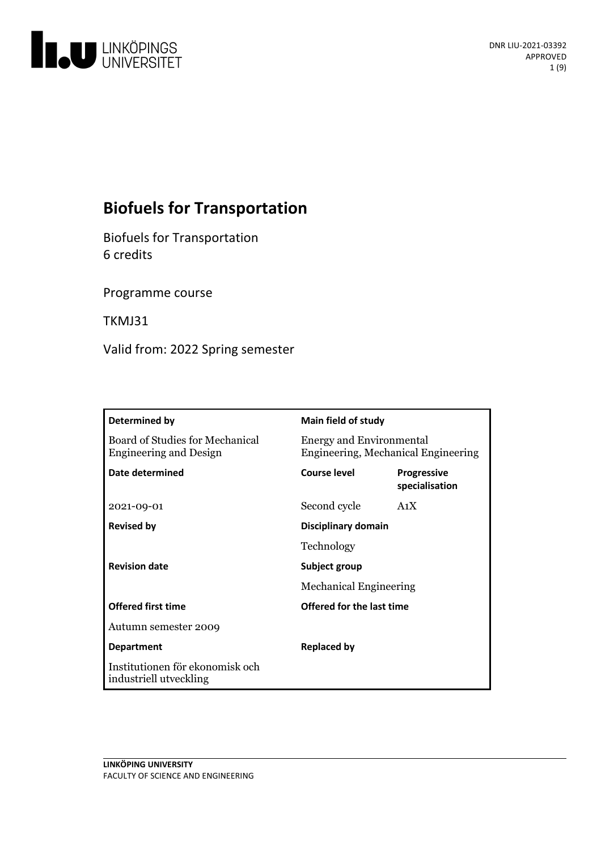

# **Biofuels for Transportation**

**Biofuels for Transportation** 6 credits

Programme course

TKMJ31

Valid from: 2022 Spring semester

| Determined by                                                    | <b>Main field of study</b>                                             |                                      |
|------------------------------------------------------------------|------------------------------------------------------------------------|--------------------------------------|
| Board of Studies for Mechanical<br><b>Engineering and Design</b> | <b>Energy and Environmental</b><br>Engineering, Mechanical Engineering |                                      |
| Date determined                                                  | <b>Course level</b>                                                    | <b>Progressive</b><br>specialisation |
| 2021-09-01                                                       | Second cycle                                                           | A <sub>1</sub> X                     |
| <b>Revised by</b>                                                | Disciplinary domain                                                    |                                      |
|                                                                  | Technology                                                             |                                      |
| <b>Revision date</b>                                             | Subject group                                                          |                                      |
|                                                                  | <b>Mechanical Engineering</b>                                          |                                      |
| <b>Offered first time</b>                                        | Offered for the last time                                              |                                      |
| Autumn semester 2009                                             |                                                                        |                                      |
| <b>Department</b>                                                | <b>Replaced by</b>                                                     |                                      |
| Institutionen för ekonomisk och<br>industriell utveckling        |                                                                        |                                      |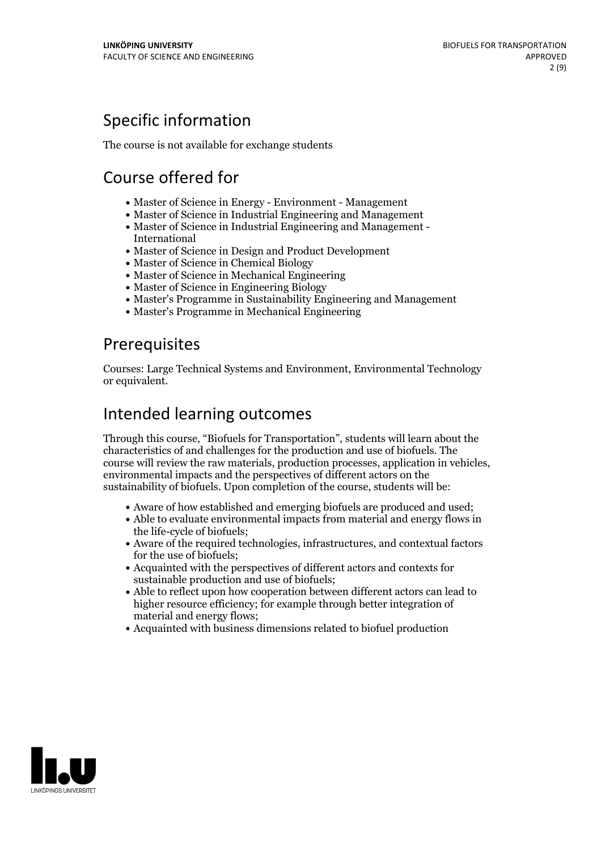# Specific information

The course is not available for exchange students

# Course offered for

- Master of Science in Energy Environment Management
- Master of Science in Industrial Engineering and Management
- Master of Science in Industrial Engineering and Management International
- Master of Science in Design and Product Development
- Master of Science in Chemical Biology
- Master of Science in Mechanical Engineering
- Master of Science in Engineering Biology
- Master's Programme in Sustainability Engineering and Management
- Master's Programme in Mechanical Engineering

## Prerequisites

Courses: Large Technical Systems and Environment, Environmental Technology or equivalent.

## Intended learning outcomes

Through this course, "Biofuels for Transportation", students will learn about the characteristics of and challenges for the production and use of biofuels. The course will review the raw materials, production processes, application in vehicles, environmental impacts and the perspectives of different actors on the sustainability of biofuels. Upon completion of the course, students will be:

- Aware of how established and emerging biofuels are produced and used;
- Able to evaluate environmental impacts from material and energy flows in the life-cycle of biofuels;
- Aware of the required technologies, infrastructures, and contextual factors for the use of biofuels;
- Acquainted with the perspectives of different actors and contexts for sustainable production and use of biofuels;
- Able to reflect upon how cooperation between different actors can lead to higher resource efficiency; for example through better integration of material and energy flows;
- Acquainted with business dimensions related to biofuel production

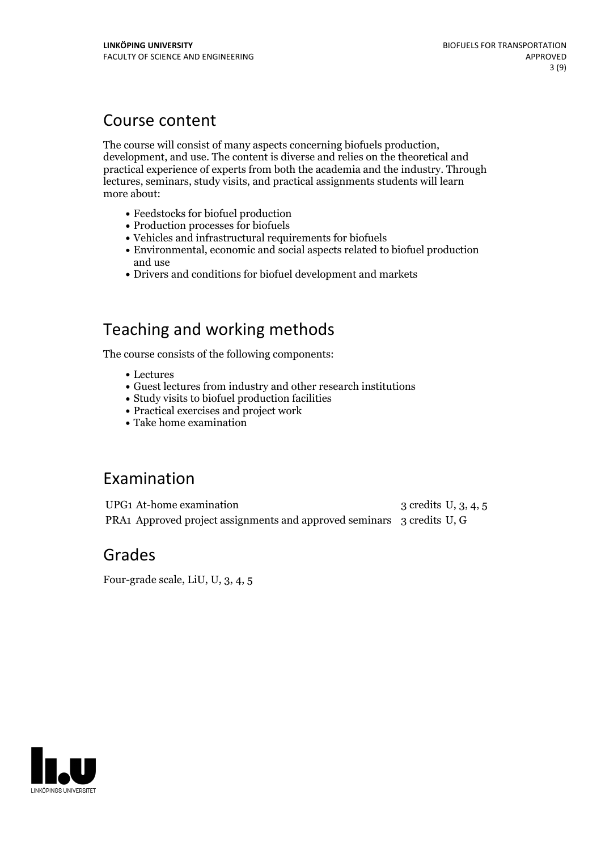## Course content

The course will consist of many aspects concerning biofuels production, development, and use. The content is diverse and relies on the theoretical and practical experience ofexperts from both the academia and the industry. Through lectures, seminars, study visits, and practical assignments students will learn more about:

- Feedstocks for biofuel production
- Production processes for biofuels
- Vehicles and infrastructural requirements for biofuels
- Environmental, economic and social aspects related to biofuel production and use
- Drivers and conditions for biofuel development and markets

## Teaching and working methods

The course consists of the following components:

- Lectures
- Guest lectures from industry and other research institutions
- Study visits to biofuel production facilities
- Practical exercises and project work
- Take home examination

## Examination

UPG1 At-home examination 3 credits U, 3, 4, 5 PRA1 Approved project assignments and approved seminars 3 credits U, G

## Grades

Four-grade scale, LiU, U, 3, 4, 5

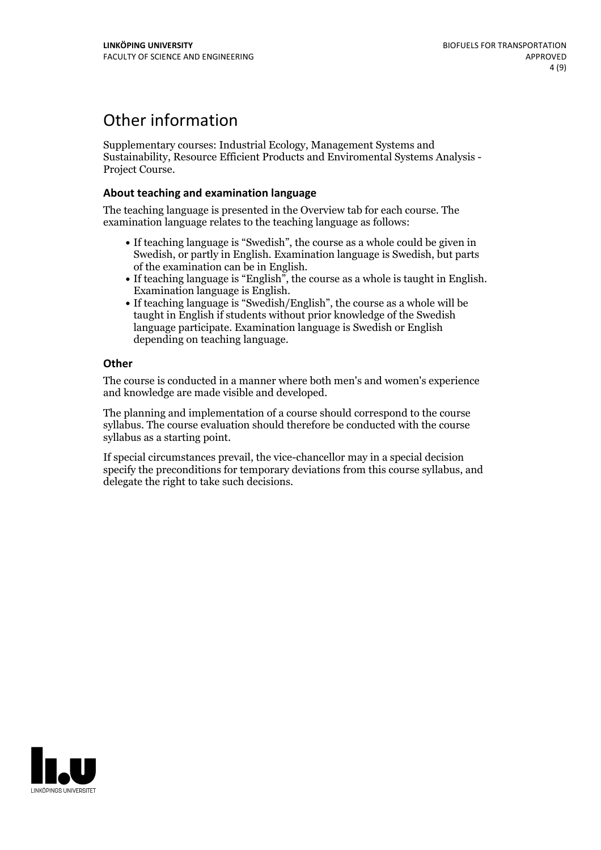## Other information

Supplementary courses: Industrial Ecology, Management Systems and Sustainability, Resource Efficient Products and Enviromental Systems Analysis - Project Course.

### **About teaching and examination language**

The teaching language is presented in the Overview tab for each course. The examination language relates to the teaching language as follows:

- If teaching language is "Swedish", the course as a whole could be given in Swedish, or partly in English. Examination language is Swedish, but parts
- of the examination can be in English. If teaching language is "English", the course as <sup>a</sup> whole is taught in English. Examination language is English. If teaching language is "Swedish/English", the course as <sup>a</sup> whole will be
- taught in English if students without prior knowledge of the Swedish language participate. Examination language is Swedish or English depending on teaching language.

### **Other**

The course is conducted in a manner where both men's and women's experience and knowledge are made visible and developed.

The planning and implementation of a course should correspond to the course syllabus. The course evaluation should therefore be conducted with the course syllabus as a starting point.

If special circumstances prevail, the vice-chancellor may in a special decision specify the preconditions for temporary deviations from this course syllabus, and delegate the right to take such decisions.

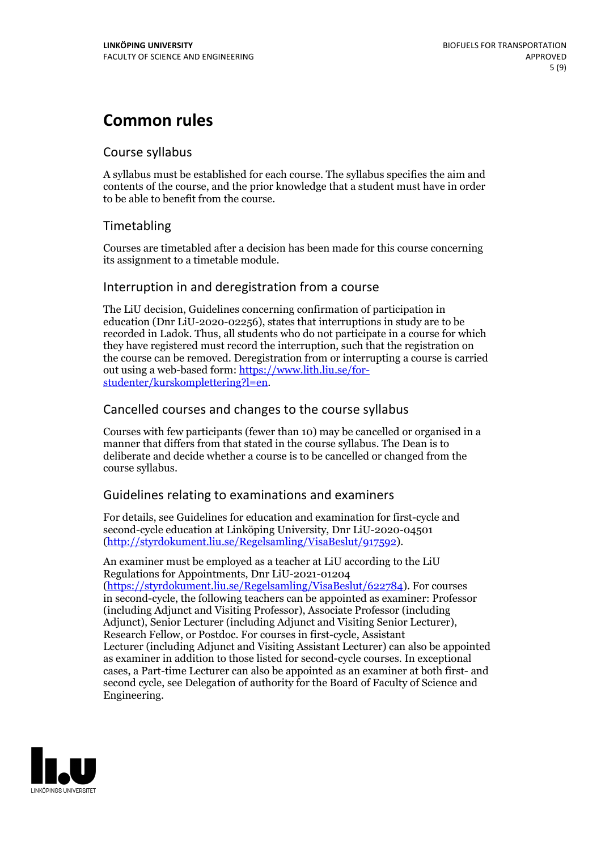## **Common rules**

### Course syllabus

A syllabus must be established for each course. The syllabus specifies the aim and contents of the course, and the prior knowledge that a student must have in order to be able to benefit from the course.

## Timetabling

Courses are timetabled after a decision has been made for this course concerning its assignment to a timetable module.

### Interruption in and deregistration from a course

The LiU decision, Guidelines concerning confirmation of participation in education (Dnr LiU-2020-02256), states that interruptions in study are to be recorded in Ladok. Thus, all students who do not participate in a course for which they have registered must record the interruption, such that the registration on the course can be removed. Deregistration from or interrupting a course is carried out using <sup>a</sup> web-based form: https://www.lith.liu.se/for- [studenter/kurskomplettering?l=en.](https://www.lith.liu.se/for-studenter/kurskomplettering?l=en)

## Cancelled courses and changes to the course syllabus

Courses with few participants (fewer than 10) may be cancelled or organised in a manner that differs from that stated in the course syllabus. The Dean is to deliberate and decide whether a course is to be cancelled or changed from the course syllabus.

## Guidelines relating to examinations and examiners

For details, see Guidelines for education and examination for first-cycle and second-cycle education at Linköping University, Dnr LiU-2020-04501 [\(http://styrdokument.liu.se/Regelsamling/VisaBeslut/917592\)](http://styrdokument.liu.se/Regelsamling/VisaBeslut/917592).

An examiner must be employed as a teacher at LiU according to the LiU Regulations for Appointments, Dnr LiU-2021-01204 [\(https://styrdokument.liu.se/Regelsamling/VisaBeslut/622784](https://styrdokument.liu.se/Regelsamling/VisaBeslut/622784)). For courses in second-cycle, the following teachers can be appointed as examiner: Professor (including Adjunct and Visiting Professor), Associate Professor (including Adjunct), Senior Lecturer (including Adjunct and Visiting Senior Lecturer), Research Fellow, or Postdoc. For courses in first-cycle, Assistant Lecturer (including Adjunct and Visiting Assistant Lecturer) can also be appointed as examiner in addition to those listed for second-cycle courses. In exceptional cases, a Part-time Lecturer can also be appointed as an examiner at both first- and second cycle, see Delegation of authority for the Board of Faculty of Science and Engineering.

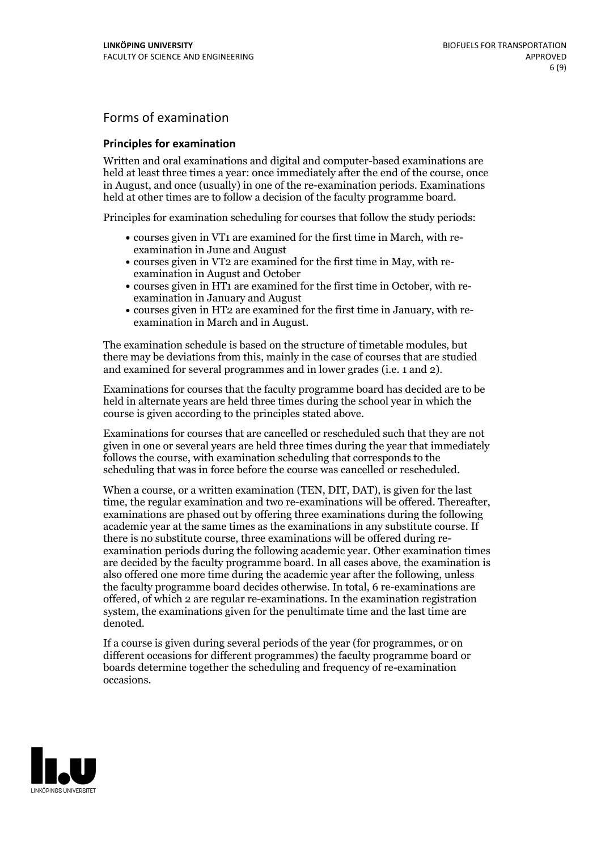## Forms of examination

#### **Principles for examination**

Written and oral examinations and digital and computer-based examinations are held at least three times a year: once immediately after the end of the course, once in August, and once (usually) in one of the re-examination periods. Examinations held at other times are to follow a decision of the faculty programme board.

Principles for examination scheduling for courses that follow the study periods:

- courses given in VT1 are examined for the first time in March, with re-examination in June and August
- courses given in VT2 are examined for the first time in May, with re-examination in August and October
- courses given in HT1 are examined for the first time in October, with re-examination in January and August
- courses given in HT2 are examined for the first time in January, with re-examination in March and in August.

The examination schedule is based on the structure of timetable modules, but there may be deviations from this, mainly in the case of courses that are studied and examined for several programmes and in lower grades (i.e. 1 and 2).

Examinations for courses that the faculty programme board has decided are to be held in alternate years are held three times during the school year in which the course is given according to the principles stated above.

Examinations for courses that are cancelled orrescheduled such that they are not given in one or several years are held three times during the year that immediately follows the course, with examination scheduling that corresponds to the scheduling that was in force before the course was cancelled or rescheduled.

When a course, or a written examination (TEN, DIT, DAT), is given for the last time, the regular examination and two re-examinations will be offered. Thereafter, examinations are phased out by offering three examinations during the following academic year at the same times as the examinations in any substitute course. If there is no substitute course, three examinations will be offered during re- examination periods during the following academic year. Other examination times are decided by the faculty programme board. In all cases above, the examination is also offered one more time during the academic year after the following, unless the faculty programme board decides otherwise. In total, 6 re-examinations are offered, of which 2 are regular re-examinations. In the examination registration system, the examinations given for the penultimate time and the last time are denoted.

If a course is given during several periods of the year (for programmes, or on different occasions for different programmes) the faculty programme board or boards determine together the scheduling and frequency of re-examination occasions.

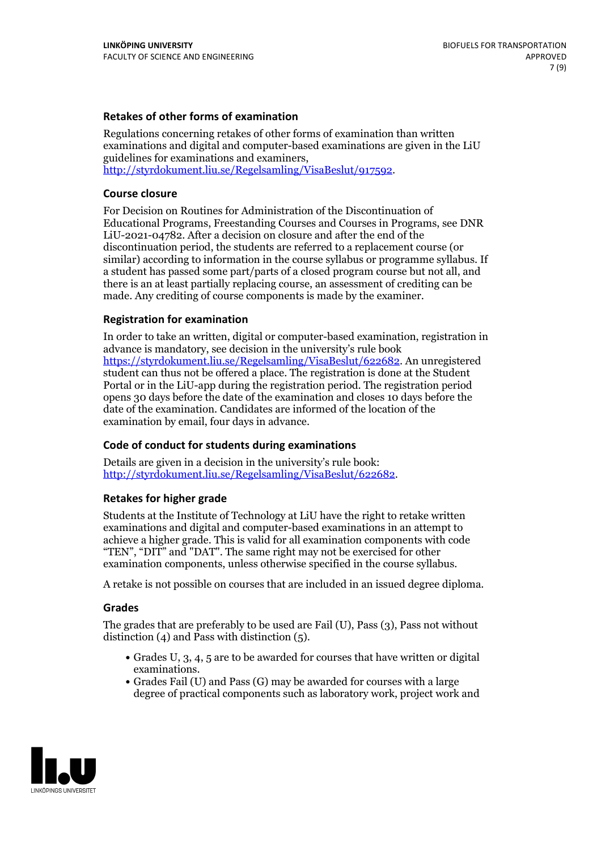### **Retakes of other forms of examination**

Regulations concerning retakes of other forms of examination than written examinations and digital and computer-based examinations are given in the LiU guidelines for examinations and examiners, [http://styrdokument.liu.se/Regelsamling/VisaBeslut/917592.](http://styrdokument.liu.se/Regelsamling/VisaBeslut/917592)

#### **Course closure**

For Decision on Routines for Administration of the Discontinuation of Educational Programs, Freestanding Courses and Courses in Programs, see DNR LiU-2021-04782. After a decision on closure and after the end of the discontinuation period, the students are referred to a replacement course (or similar) according to information in the course syllabus or programme syllabus. If a student has passed some part/parts of a closed program course but not all, and there is an at least partially replacing course, an assessment of crediting can be made. Any crediting of course components is made by the examiner.

### **Registration for examination**

In order to take an written, digital or computer-based examination, registration in advance is mandatory, see decision in the university's rule book [https://styrdokument.liu.se/Regelsamling/VisaBeslut/622682.](https://styrdokument.liu.se/Regelsamling/VisaBeslut/622682) An unregistered student can thus not be offered a place. The registration is done at the Student Portal or in the LiU-app during the registration period. The registration period opens 30 days before the date of the examination and closes 10 days before the date of the examination. Candidates are informed of the location of the examination by email, four days in advance.

### **Code of conduct for students during examinations**

Details are given in a decision in the university's rule book: <http://styrdokument.liu.se/Regelsamling/VisaBeslut/622682>.

#### **Retakes for higher grade**

Students at the Institute of Technology at LiU have the right to retake written examinations and digital and computer-based examinations in an attempt to achieve a higher grade. This is valid for all examination components with code "TEN", "DIT" and "DAT". The same right may not be exercised for other examination components, unless otherwise specified in the course syllabus.

A retake is not possible on courses that are included in an issued degree diploma.

#### **Grades**

The grades that are preferably to be used are Fail (U), Pass (3), Pass not without distinction  $(4)$  and Pass with distinction  $(5)$ .

- Grades U, 3, 4, 5 are to be awarded for courses that have written or digital examinations.<br>• Grades Fail (U) and Pass (G) may be awarded for courses with a large
- degree of practical components such as laboratory work, project work and

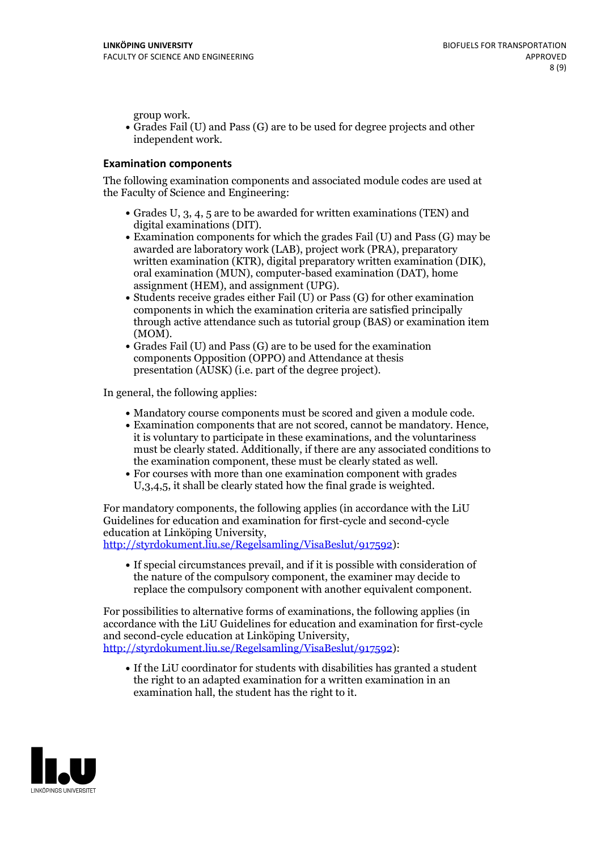group work.<br>• Grades Fail (U) and Pass (G) are to be used for degree projects and other independent work.

#### **Examination components**

The following examination components and associated module codes are used at the Faculty of Science and Engineering:

- Grades U, 3, 4, 5 are to be awarded for written examinations (TEN) and
- digital examinations (DIT).<br>• Examination components for which the grades Fail (U) and Pass (G) may be awarded are laboratory work (LAB), project work (PRA), preparatory written examination (KTR), digital preparatory written examination (DIK), oral examination (MUN), computer-based examination (DAT), home
- assignment (HEM), and assignment (UPG).<br>• Students receive grades either Fail (U) or Pass (G) for other examination components in which the examination criteria are satisfied principally through active attendance such as tutorial group (BAS) or examination item
- (MOM).<br>• Grades Fail (U) and Pass (G) are to be used for the examination components Opposition (OPPO) and Attendance at thesis presentation (AUSK) (i.e. part of the degree project).

In general, the following applies:

- 
- Mandatory course components must be scored and given <sup>a</sup> module code. Examination components that are not scored, cannot be mandatory. Hence, it is voluntary to participate in these examinations, and the voluntariness must be clearly stated. Additionally, if there are any associated conditions to
- the examination component, these must be clearly stated as well.<br>• For courses with more than one examination component with grades U,3,4,5, it shall be clearly stated how the final grade is weighted.

For mandatory components, the following applies (in accordance with the LiU Guidelines for education and examination for first-cycle and second-cycle education at Linköping University,<br>[http://styrdokument.liu.se/Regelsamling/VisaBeslut/917592\)](http://styrdokument.liu.se/Regelsamling/VisaBeslut/917592):

If special circumstances prevail, and if it is possible with consideration of the nature of the compulsory component, the examiner may decide to replace the compulsory component with another equivalent component.

For possibilities to alternative forms of examinations, the following applies (in accordance with the LiU Guidelines for education and examination for first-cycle [http://styrdokument.liu.se/Regelsamling/VisaBeslut/917592\)](http://styrdokument.liu.se/Regelsamling/VisaBeslut/917592):

If the LiU coordinator for students with disabilities has granted a student the right to an adapted examination for a written examination in an examination hall, the student has the right to it.